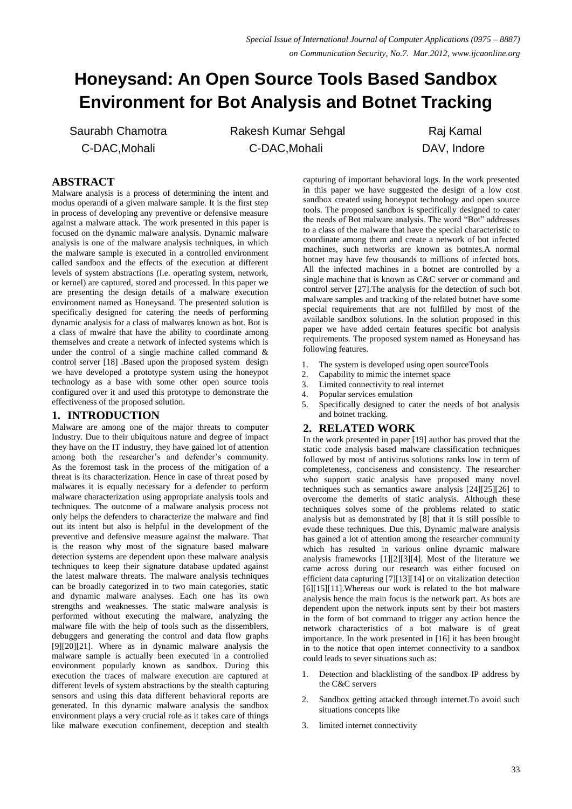# **Honeysand: An Open Source Tools Based Sandbox Environment for Bot Analysis and Botnet Tracking**

Saurabh Chamotra C-DAC,Mohali

Rakesh Kumar Sehgal C-DAC,Mohali

Raj Kamal DAV, Indore

# **ABSTRACT**

Malware analysis is a process of determining the intent and modus operandi of a given malware sample. It is the first step in process of developing any preventive or defensive measure against a malware attack. The work presented in this paper is focused on the dynamic malware analysis. Dynamic malware analysis is one of the malware analysis techniques, in which the malware sample is executed in a controlled environment called sandbox and the effects of the execution at different levels of system abstractions (I.e. operating system, network, or kernel) are captured, stored and processed. In this paper we are presenting the design details of a malware execution environment named as Honeysand. The presented solution is specifically designed for catering the needs of performing dynamic analysis for a class of malwares known as bot. Bot is a class of mwalre that have the ability to coordinate among themselves and create a network of infected systems which is under the control of a single machine called command & control server [18] .Based upon the proposed system design we have developed a prototype system using the honeypot technology as a base with some other open source tools configured over it and used this prototype to demonstrate the effectiveness of the proposed solution.

# **1. INTRODUCTION**

Malware are among one of the major threats to computer Industry. Due to their ubiquitous nature and degree of impact they have on the IT industry, they have gained lot of attention among both the researcher's and defender's community. As the foremost task in the process of the mitigation of a threat is its characterization. Hence in case of threat posed by malwares it is equally necessary for a defender to perform malware characterization using appropriate analysis tools and techniques. The outcome of a malware analysis process not only helps the defenders to characterize the malware and find out its intent but also is helpful in the development of the preventive and defensive measure against the malware. That is the reason why most of the signature based malware detection systems are dependent upon these malware analysis techniques to keep their signature database updated against the latest malware threats. The malware analysis techniques can be broadly categorized in to two main categories, static and dynamic malware analyses. Each one has its own strengths and weaknesses. The static malware analysis is performed without executing the malware, analyzing the malware file with the help of tools such as the dissemblers, debuggers and generating the control and data flow graphs [9][20][21]. Where as in dynamic malware analysis the malware sample is actually been executed in a controlled environment popularly known as sandbox. During this execution the traces of malware execution are captured at different levels of system abstractions by the stealth capturing sensors and using this data different behavioral reports are generated. In this dynamic malware analysis the sandbox environment plays a very crucial role as it takes care of things like malware execution confinement, deception and stealth capturing of important behavioral logs. In the work presented in this paper we have suggested the design of a low cost sandbox created using honeypot technology and open source tools. The proposed sandbox is specifically designed to cater the needs of Bot malware analysis. The word "Bot" addresses to a class of the malware that have the special characteristic to coordinate among them and create a network of bot infected machines, such networks are known as botntes.A normal botnet may have few thousands to millions of infected bots. All the infected machines in a botnet are controlled by a single machine that is known as C&C server or command and control server [27].The analysis for the detection of such bot malware samples and tracking of the related botnet have some special requirements that are not fulfilled by most of the available sandbox solutions. In the solution proposed in this paper we have added certain features specific bot analysis requirements. The proposed system named as Honeysand has following features.

- 1. The system is developed using open sourceTools
- 2. Capability to mimic the internet space
- 3. Limited connectivity to real internet
- 4. Popular services emulation<br>5. Specifically designed to co
- Specifically designed to cater the needs of bot analysis and botnet tracking.

# **2. RELATED WORK**

In the work presented in paper [19] author has proved that the static code analysis based malware classification techniques followed by most of antivirus solutions ranks low in term of completeness, conciseness and consistency. The researcher who support static analysis have proposed many novel techniques such as semantics aware analysis [24][25][26] to overcome the demerits of static analysis. Although these techniques solves some of the problems related to static analysis but as demonstrated by [8] that it is still possible to evade these techniques. Due this, Dynamic malware analysis has gained a lot of attention among the researcher community which has resulted in various online dynamic malware analysis frameworks [1][2][3][4]. Most of the literature we came across during our research was either focused on efficient data capturing [7][13][14] or on vitalization detection [6][15][11].Whereas our work is related to the bot malware analysis hence the main focus is the network part. As bots are dependent upon the network inputs sent by their bot masters in the form of bot command to trigger any action hence the network characteristics of a bot malware is of great importance. In the work presented in [16] it has been brought in to the notice that open internet connectivity to a sandbox could leads to sever situations such as:

- 1. Detection and blacklisting of the sandbox IP address by the C&C servers
- 2. Sandbox getting attacked through internet.To avoid such situations concepts like
- 3. limited internet connectivity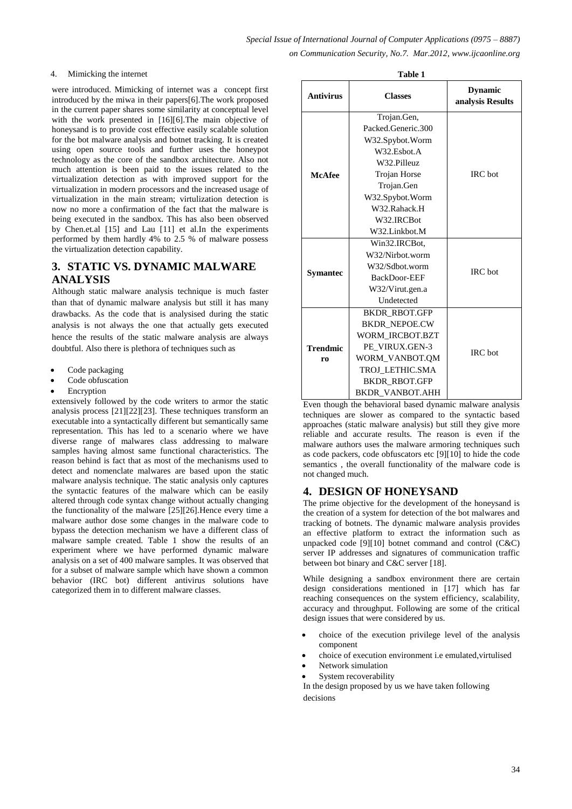**Table 1** 

#### 4. Mimicking the internet

were introduced. Mimicking of internet was a concept first introduced by the miwa in their papers[6].The work proposed in the current paper shares some similarity at conceptual level with the work presented in [16][6].The main objective of honeysand is to provide cost effective easily scalable solution for the bot malware analysis and botnet tracking. It is created using open source tools and further uses the honeypot technology as the core of the sandbox architecture. Also not much attention is been paid to the issues related to the virtualization detection as with improved support for the virtualization in modern processors and the increased usage of virtualization in the main stream; virtulization detection is now no more a confirmation of the fact that the malware is being executed in the sandbox. This has also been observed by Chen.et.al [15] and Lau [11] et al.In the experiments performed by them hardly 4% to 2.5 % of malware possess the virtualization detection capability.

## **3. STATIC VS. DYNAMIC MALWARE ANALYSIS**

Although static malware analysis technique is much faster than that of dynamic malware analysis but still it has many drawbacks. As the code that is analysised during the static analysis is not always the one that actually gets executed hence the results of the static malware analysis are always doubtful. Also there is plethora of techniques such as

- Code packaging
- Code obfuscation
- Encryption

extensively followed by the code writers to armor the static analysis process [21][22][23]. These techniques transform an executable into a syntactically different but semantically same representation. This has led to a scenario where we have diverse range of malwares class addressing to malware samples having almost same functional characteristics. The reason behind is fact that as most of the mechanisms used to detect and nomenclate malwares are based upon the static malware analysis technique. The static analysis only captures the syntactic features of the malware which can be easily altered through code syntax change without actually changing the functionality of the malware [25][26].Hence every time a malware author dose some changes in the malware code to bypass the detection mechanism we have a different class of malware sample created. Table 1 show the results of an experiment where we have performed dynamic malware analysis on a set of 400 malware samples. It was observed that for a subset of malware sample which have shown a common behavior (IRC bot) different antivirus solutions have categorized them in to different malware classes.

| таріе т          |                      |                                    |  |  |
|------------------|----------------------|------------------------------------|--|--|
| <b>Antivirus</b> | <b>Classes</b>       | <b>Dynamic</b><br>analysis Results |  |  |
|                  | Trojan.Gen,          |                                    |  |  |
|                  | Packed.Generic.300   |                                    |  |  |
|                  | W32.Spybot.Worm      |                                    |  |  |
|                  | W32.Esbot.A          |                                    |  |  |
|                  | W32.Pilleuz          |                                    |  |  |
| <b>McAfee</b>    | Trojan Horse         | <b>IRC</b> bot                     |  |  |
|                  | Trojan.Gen           |                                    |  |  |
|                  | W32.Spybot.Worm      |                                    |  |  |
|                  | W32.Rahack.H         |                                    |  |  |
|                  | W32.IRCBot           |                                    |  |  |
|                  | W32.Linkbot.M        |                                    |  |  |
|                  | Win32.IRCBot,        |                                    |  |  |
|                  | W32/Nirbot.worm      |                                    |  |  |
|                  | W32/Sdbot.worm       | <b>IRC</b> bot                     |  |  |
| <b>Symantec</b>  | BackDoor-EEF         |                                    |  |  |
|                  | W32/Virut.gen.a      |                                    |  |  |
|                  | Undetected           |                                    |  |  |
| <b>Trendmic</b>  | <b>BKDR RBOT.GFP</b> |                                    |  |  |
|                  | <b>BKDR NEPOE.CW</b> | <b>IRC</b> bot                     |  |  |
|                  | WORM IRCBOT.BZT      |                                    |  |  |
|                  | PE VIRUX.GEN-3       |                                    |  |  |
| r <sub>0</sub>   | WORM VANBOT.OM       |                                    |  |  |
|                  | TROJ LETHIC.SMA      |                                    |  |  |
|                  | <b>BKDR RBOT.GFP</b> |                                    |  |  |
|                  | BKDR VANBOT.AHH      |                                    |  |  |

Even though the behavioral based dynamic malware analysis techniques are slower as compared to the syntactic based approaches (static malware analysis) but still they give more reliable and accurate results. The reason is even if the malware authors uses the malware armoring techniques such as code packers, code obfuscators etc [9][10] to hide the code semantics , the overall functionality of the malware code is not changed much.

# **4. DESIGN OF HONEYSAND**

The prime objective for the development of the honeysand is the creation of a system for detection of the bot malwares and tracking of botnets. The dynamic malware analysis provides an effective platform to extract the information such as unpacked code [9][10] botnet command and control (C&C) server IP addresses and signatures of communication traffic between bot binary and C&C server [18].

While designing a sandbox environment there are certain design considerations mentioned in [17] which has far reaching consequences on the system efficiency, scalability, accuracy and throughput. Following are some of the critical design issues that were considered by us.

- choice of the execution privilege level of the analysis component
- choice of execution environment i.e emulated,virtulised
- Network simulation
- System recoverability

In the design proposed by us we have taken following decisions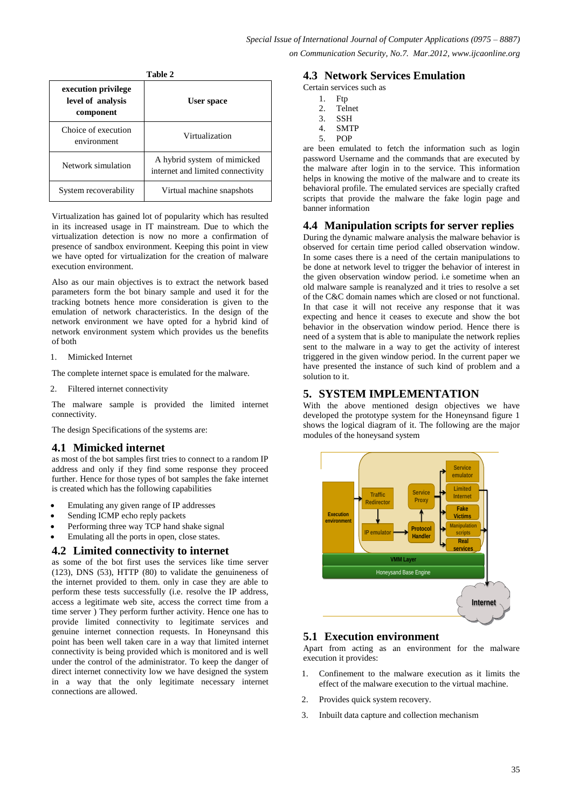| execution privilege<br>level of analysis<br>component | <b>User space</b>                                                |  |
|-------------------------------------------------------|------------------------------------------------------------------|--|
| Choice of execution<br>environment                    | Virtualization                                                   |  |
| Network simulation                                    | A hybrid system of mimicked<br>internet and limited connectivity |  |
| System recoverability                                 | Virtual machine snapshots                                        |  |

**Table 2**

Virtualization has gained lot of popularity which has resulted in its increased usage in IT mainstream. Due to which the virtualization detection is now no more a confirmation of presence of sandbox environment. Keeping this point in view we have opted for virtualization for the creation of malware execution environment.

Also as our main objectives is to extract the network based parameters form the bot binary sample and used it for the tracking botnets hence more consideration is given to the emulation of network characteristics. In the design of the network environment we have opted for a hybrid kind of network environment system which provides us the benefits of both

1. Mimicked Internet

The complete internet space is emulated for the malware.

2. Filtered internet connectivity

The malware sample is provided the limited internet connectivity.

The design Specifications of the systems are:

## **4.1 Mimicked internet**

as most of the bot samples first tries to connect to a random IP address and only if they find some response they proceed further. Hence for those types of bot samples the fake internet is created which has the following capabilities

- Emulating any given range of IP addresses
- Sending ICMP echo reply packets
- Performing three way TCP hand shake signal
- Emulating all the ports in open, close states.

#### **4.2 Limited connectivity to internet**

as some of the bot first uses the services like time server (123), DNS (53), HTTP (80) to validate the genuineness of the internet provided to them. only in case they are able to perform these tests successfully (i.e. resolve the IP address, access a legitimate web site, access the correct time from a time server ) They perform further activity. Hence one has to provide limited connectivity to legitimate services and genuine internet connection requests. In Honeynsand this point has been well taken care in a way that limited internet connectivity is being provided which is monitored and is well under the control of the administrator. To keep the danger of direct internet connectivity low we have designed the system in a way that the only legitimate necessary internet connections are allowed.

#### **4.3 Network Services Emulation**

Certain services such as

- 1. Ftp
- 2. Telnet
- 3. SSH
- 4. SMTP<br>5. POP 5. POP

are been emulated to fetch the information such as login password Username and the commands that are executed by the malware after login in to the service. This information helps in knowing the motive of the malware and to create its behavioral profile. The emulated services are specially crafted scripts that provide the malware the fake login page and banner information

#### **4.4 Manipulation scripts for server replies**

During the dynamic malware analysis the malware behavior is observed for certain time period called observation window. In some cases there is a need of the certain manipulations to be done at network level to trigger the behavior of interest in the given observation window period. i.e sometime when an old malware sample is reanalyzed and it tries to resolve a set of the C&C domain names which are closed or not functional. In that case it will not receive any response that it was expecting and hence it ceases to execute and show the bot behavior in the observation window period. Hence there is need of a system that is able to manipulate the network replies sent to the malware in a way to get the activity of interest triggered in the given window period. In the current paper we have presented the instance of such kind of problem and a solution to it.

## **5. SYSTEM IMPLEMENTATION**

With the above mentioned design objectives we have developed the prototype system for the Honeynsand figure 1 shows the logical diagram of it. The following are the major modules of the honeysand system



## **5.1 Execution environment**

Apart from acting as an environment for the malware execution it provides:

- 1. Confinement to the malware execution as it limits the effect of the malware execution to the virtual machine.
- 2. Provides quick system recovery.
- 3. Inbuilt data capture and collection mechanism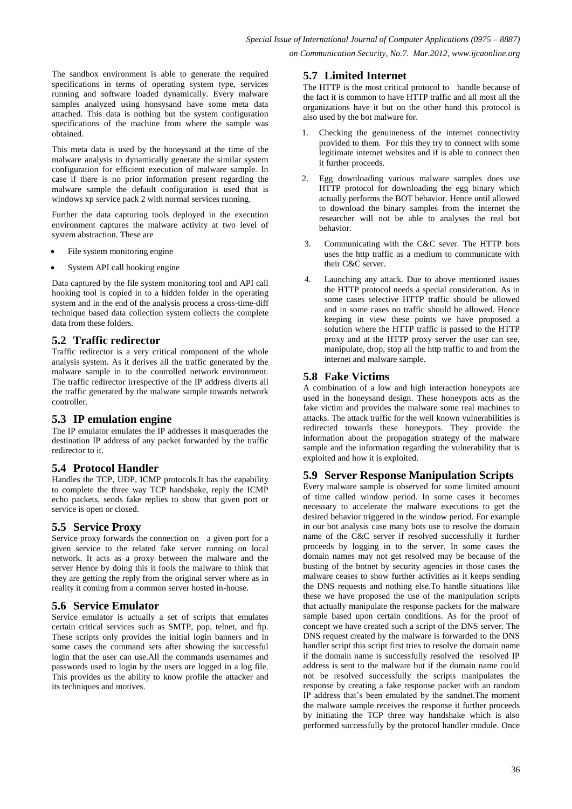The sandbox environment is able to generate the required specifications in terms of operating system type, services running and software loaded dynamically. Every malware samples analyzed using honsysand have some meta data attached. This data is nothing but the system configuration specifications of the machine from where the sample was obtained.

This meta data is used by the honeysand at the time of the malware analysis to dynamically generate the similar system configuration for efficient execution of malware sample. In case if there is no prior information present regarding the malware sample the default configuration is used that is windows xp service pack 2 with normal services running.

Further the data capturing tools deployed in the execution environment captures the malware activity at two level of system abstraction. These are

- File system monitoring engine
- System API call hooking engine

Data captured by the file system monitoring tool and API call hooking tool is copied in to a hidden folder in the operating system and in the end of the analysis process a cross-time-diff technique based data collection system collects the complete data from these folders.

## **5.2 Traffic redirector**

Traffic redirector is a very critical component of the whole analysis system. As it derives all the traffic generated by the malware sample in to the controlled network environment. The traffic redirector irrespective of the IP address diverts all the traffic generated by the malware sample towards network controller.

#### **5.3 IP emulation engine**

The IP emulator emulates the IP addresses it masquerades the destination IP address of any packet forwarded by the traffic redirector to it.

## **5.4 Protocol Handler**

Handles the TCP, UDP, ICMP protocols.It has the capability to complete the three way TCP handshake, reply the ICMP echo packets, sends fake replies to show that given port or service is open or closed.

## **5.5 Service Proxy**

Service proxy forwards the connection on a given port for a given service to the related fake server running on local network. It acts as a proxy between the malware and the server Hence by doing this it fools the malware to think that they are getting the reply from the original server where as in reality it coming from a common server hosted in-house.

## **5.6 Service Emulator**

Service emulator is actually a set of scripts that emulates certain critical services such as SMTP, pop, telnet, and ftp. These scripts only provides the initial login banners and in some cases the command sets after showing the successful login that the user can use.All the commands usernames and passwords used to login by the users are logged in a log file. This provides us the ability to know profile the attacker and its techniques and motives.

## **5.7 Limited Internet**

The HTTP is the most critical protocol to handle because of the fact it is common to have HTTP traffic and all most all the organizations have it but on the other hand this protocol is also used by the bot malware for.

- 1. Checking the genuineness of the internet connectivity provided to them. For this they try to connect with some legitimate internet websites and if is able to connect then it further proceeds.
- 2. Egg downloading various malware samples does use HTTP protocol for downloading the egg binary which actually performs the BOT behavior. Hence until allowed to download the binary samples from the internet the researcher will not be able to analyses the real bot behavior.
- 3. Communicating with the C&C sever. The HTTP bots uses the http traffic as a medium to communicate with their C&C server.
- 4. Launching any attack. Due to above mentioned issues the HTTP protocol needs a special consideration. As in some cases selective HTTP traffic should be allowed and in some cases no traffic should be allowed. Hence keeping in view these points we have proposed a solution where the HTTP traffic is passed to the HTTP proxy and at the HTTP proxy server the user can see, manipulate, drop, stop all the http traffic to and from the internet and malware sample.

## **5.8 Fake Victims**

A combination of a low and high interaction honeypots are used in the honeysand design. These honeypots acts as the fake victim and provides the malware some real machines to attacks. The attack traffic for the well known vulnerabilities is redirected towards these honeypots. They provide the information about the propagation strategy of the malware sample and the information regarding the vulnerability that is exploited and how it is exploited.

## **5.9 Server Response Manipulation Scripts**

Every malware sample is observed for some limited amount of time called window period. In some cases it becomes necessary to accelerate the malware executions to get the desired behavior triggered in the window period. For example in our bot analysis case many bots use to resolve the domain name of the C&C server if resolved successfully it further proceeds by logging in to the server. In some cases the domain names may not get resolved may be because of the busting of the botnet by security agencies in those cases the malware ceases to show further activities as it keeps sending the DNS requests and nothing else.To handle situations like these we have proposed the use of the manipulation scripts that actually manipulate the response packets for the malware sample based upon certain conditions. As for the proof of concept we have created such a script of the DNS server. The DNS request created by the malware is forwarded to the DNS handler script this script first tries to resolve the domain name if the domain name is successfully resolved the resolved IP address is sent to the malware but if the domain name could not be resolved successfully the scripts manipulates the response by creating a fake response packet with an random IP address that's been emulated by the sandnet.The moment the malware sample receives the response it further proceeds by initiating the TCP three way handshake which is also performed successfully by the protocol handler module. Once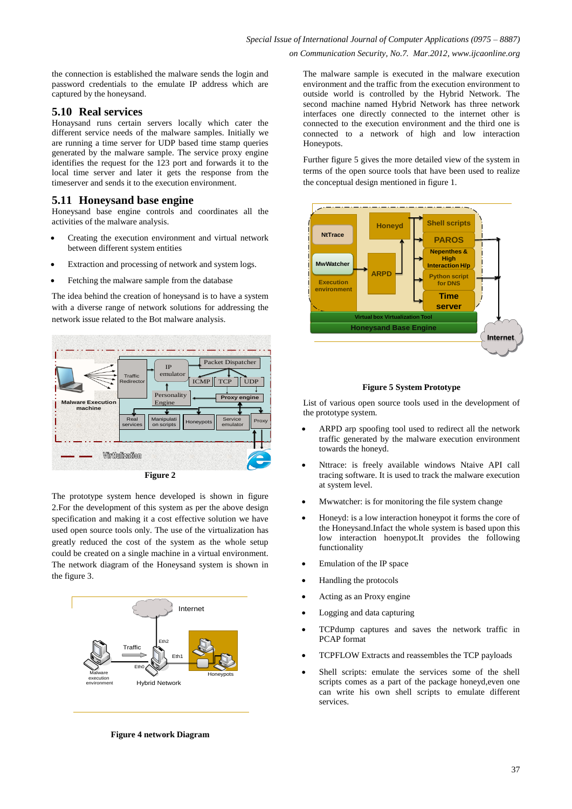the connection is established the malware sends the login and password credentials to the emulate IP address which are captured by the honeysand.

## **5.10 Real services**

Honaysand runs certain servers locally which cater the different service needs of the malware samples. Initially we are running a time server for UDP based time stamp queries generated by the malware sample. The service proxy engine identifies the request for the 123 port and forwards it to the local time server and later it gets the response from the timeserver and sends it to the execution environment.

#### **5.11 Honeysand base engine**

Honeysand base engine controls and coordinates all the activities of the malware analysis.

- Creating the execution environment and virtual network between different system entities
- Extraction and processing of network and system logs.
- Fetching the malware sample from the database

The idea behind the creation of honeysand is to have a system with a diverse range of network solutions for addressing the network issue related to the Bot malware analysis.



**Figure 2**

The prototype system hence developed is shown in figure 2.For the development of this system as per the above design specification and making it a cost effective solution we have used open source tools only. The use of the virtualization has greatly reduced the cost of the system as the whole setup could be created on a single machine in a virtual environment. The network diagram of the Honeysand system is shown in the figure 3.



The malware sample is executed in the malware execution environment and the traffic from the execution environment to outside world is controlled by the Hybrid Network. The second machine named Hybrid Network has three network interfaces one directly connected to the internet other is connected to the execution environment and the third one is connected to a network of high and low interaction Honeypots.

Further figure 5 gives the more detailed view of the system in terms of the open source tools that have been used to realize the conceptual design mentioned in figure 1.



#### **Figure 5 System Prototype**

List of various open source tools used in the development of the prototype system.

- ARPD arp spoofing tool used to redirect all the network traffic generated by the malware execution environment towards the honeyd.
- Nttrace: is freely available windows Ntaive API call tracing software. It is used to track the malware execution at system level.
- Mwwatcher: is for monitoring the file system change
- Honeyd: is a low interaction honeypot it forms the core of the Honeysand.Infact the whole system is based upon this low interaction hoenypot.It provides the following functionality
- Emulation of the IP space
- Handling the protocols
- Acting as an Proxy engine
- Logging and data capturing
- TCPdump captures and saves the network traffic in PCAP format
- TCPFLOW Extracts and reassembles the TCP payloads
- Shell scripts: emulate the services some of the shell scripts comes as a part of the package honeyd,even one can write his own shell scripts to emulate different services.

**Figure 4 network Diagram**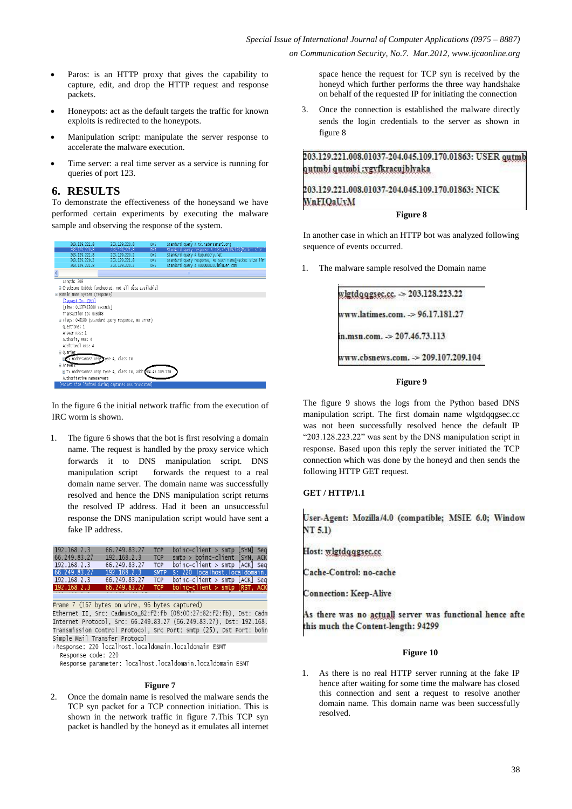- Paros: is an HTTP proxy that gives the capability to capture, edit, and drop the HTTP request and response packets.
- Honeypots: act as the default targets the traffic for known exploits is redirected to the honeypots.
- Manipulation script: manipulate the server response to accelerate the malware execution.
- Time server: a real time server as a service is running for queries of port 123.

#### **6. RESULTS**

To demonstrate the effectiveness of the honeysand we have performed certain experiments by executing the malware sample and observing the response of the system.



In the figure 6 the initial network traffic from the execution of IRC worm is shown.

1. The figure 6 shows that the bot is first resolving a domain name. The request is handled by the proxy service which forwards it to DNS manipulation script. DNS manipulation script forwards the request to a real domain name server. The domain name was successfully resolved and hence the DNS manipulation script returns the resolved IP address. Had it been an unsuccessful response the DNS manipulation script would have sent a fake IP address.

| 192.168.2.3  | 66.249.83.27 | <b>TCP</b>  | $boinc$ -client > smtp [SYN] Seq      |  |
|--------------|--------------|-------------|---------------------------------------|--|
| 66.249.83.27 | 192.168.2.3  | <b>TCP</b>  | $smtp > boinc$ -client [SYN, ACK      |  |
| 192.168.2.3  | 66.249.83.27 | <b>TCP</b>  | $boinc$ -client > smtp $[ACK]$ Seq.   |  |
| 66.249.83.27 | 192.168.2.3  | <b>SMTP</b> | S: 220 localhost.localdomain.         |  |
| 192.168.2.3  | 66.249.83.27 | <b>TCP</b>  | $boinc$ -client > smtp $[ACK]$ Seq    |  |
| 192.168.2.3  | 66.249.83.27 | <b>TCP</b>  | $boinc$ -client > $smtp$ $[RST, ACK]$ |  |

Frame 7 (167 bytes on wire, 96 bytes captured) Ethernet II, Src: CadmusCo\_82:f2:fb (08:00:27:82:f2:fb), Dst: Cadm Internet Protocol, Src: 66.249.83.27 (66.249.83.27), Dst: 192.168. Transmission Control Protocol, Src Port: smtp (25), Dst Port: boin Simple Mail Transfer Protocol

Response: 220 localhost.localdomain.localdomain ESMT Response code: 220

Response parameter: localhost localdomain localdomain ESMT

#### **Figure 7**

2. Once the domain name is resolved the malware sends the TCP syn packet for a TCP connection initiation. This is shown in the network traffic in figure 7.This TCP syn packet is handled by the honeyd as it emulates all internet space hence the request for TCP syn is received by the honeyd which further performs the three way handshake on behalf of the requested IP for initiating the connection

3. Once the connection is established the malware directly sends the login credentials to the server as shown in figure 8

203.129.221.008.01037-204.045.109.170.01863: USER gutmb qutmbi qutmbi :ygyfkracujblyaka

## 203.129.221.008.01037-204.045.109.170.01863: NICK WnFIQaUvM

#### **Figure 8**

In another case in which an HTTP bot was analyzed following sequence of events occurred.

The malware sample resolved the Domain name

|                            | vlgtdqqgsec.cc. > 203.128.223.22    |
|----------------------------|-------------------------------------|
|                            |                                     |
|                            | www.latimes.com. -> 96.17.181.27    |
| n.msn.com. > 207.46.73.113 |                                     |
|                            | vww.cbsnews.com. -> 209.107.209.104 |

#### **Figure 9**

The figure 9 shows the logs from the Python based DNS manipulation script. The first domain name wlgtdqqgsec.cc was not been successfully resolved hence the default IP "203.128.223.22" was sent by the DNS manipulation script in response. Based upon this reply the server initiated the TCP connection which was done by the honeyd and then sends the following HTTP GET request.

#### **GET / HTTP/1.1**

User-Agent: Mozilla/4.0 (compatible; MSIE 6.0; Window  $NT<sub>5.1</sub>$ 

Host: wlgtdqqgsec.cc

Cache-Control: no-cache

**Connection: Keep-Alive** 

As there was no actuall server was functional hence afte this much the Content-length: 94299

#### **Figure 10**

1. As there is no real HTTP server running at the fake IP hence after waiting for some time the malware has closed this connection and sent a request to resolve another domain name. This domain name was been successfully resolved.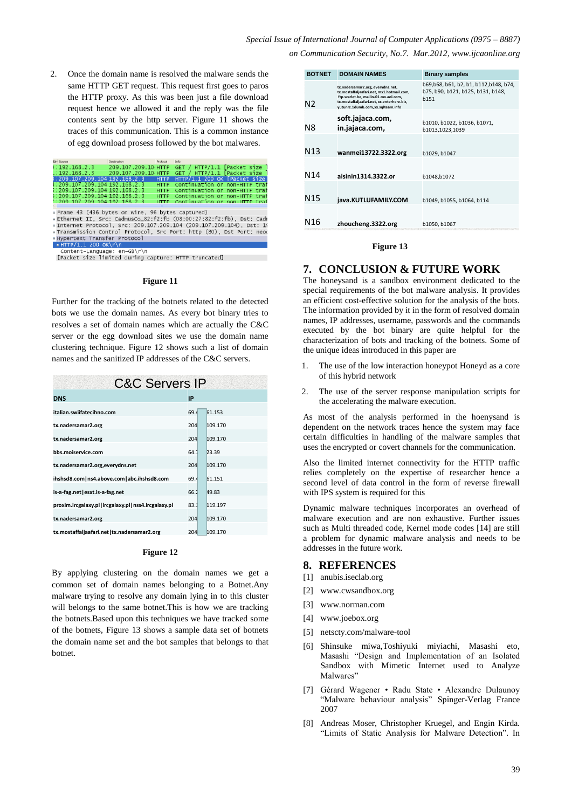2. Once the domain name is resolved the malware sends the same HTTP GET request. This request first goes to paros the HTTP proxy. As this was been just a file download request hence we allowed it and the reply was the file contents sent by the http server. Figure 11 shows the traces of this communication. This is a common instance of egg download prosess followed by the bot malwares.

| Turn Source                                                          | Destination         | Protocol    | Info                          |  |
|----------------------------------------------------------------------|---------------------|-------------|-------------------------------|--|
| (192.168.2.3)                                                        | 209.107.209.10 HTTP |             | GET / HTTP/1.1 [Packet size   |  |
| $1.192.168.2.3$ 209.107.209.10 HTTP                                  |                     |             | GET / HTTP/1.1 [Packet size   |  |
| } ; 209.107.209.104 192.168.2.3                                      |                     | <b>HTTP</b> | HTTP/1.1 200 OK [Packet size  |  |
| 1:209.107.209.104.192.168.2.3                                        |                     | <b>HTTP</b> | Continuation or non-HTTP trai |  |
| ;;209.107.209.104 192.168.2.3                                        |                     | <b>HTTP</b> | Continuation or non-HTTP traf |  |
| ;;209.107.209.104 192.168.2.3                                        |                     | <b>HTTP</b> | Continuation or non-HTTP traf |  |
| $'$ 309 107 209 104 192 168 2 3                                      |                     | <b>HTTP</b> | Continuation or non-HTTP traf |  |
|                                                                      |                     |             |                               |  |
| Frame 43 (436 bytes on wire, 96 bytes captured)                      |                     |             |                               |  |
| Ethernet II. Src: CadmusCo_82:f2:fb (08:00:27:82:f2:fb). Dst: Cadm   |                     |             |                               |  |
| # Internet Protocol, Src: 209.107.209.104 (209.107.209.104), Dst: 19 |                     |             |                               |  |
| Fransmission Control Protocol, Src Port: http (80), Dst Port: neod # |                     |             |                               |  |
| <b>Hypertext Transfer Protocol</b>                                   |                     |             |                               |  |
|                                                                      |                     |             |                               |  |

#### HTTP/I.I 200 OK\r\n<br>Content-Language: en-GB\r\n [Packet size limited during capture: HTTP truncated]

#### **Figure 11**

Further for the tracking of the botnets related to the detected bots we use the domain names. As every bot binary tries to resolves a set of domain names which are actually the C&C server or the egg download sites we use the domain name clustering technique. Figure 12 shows such a list of domain names and the sanitized IP addresses of the C&C servers.

| <b>C&amp;C Servers IP</b>                          |      |         |  |  |
|----------------------------------------------------|------|---------|--|--|
| <b>DNS</b>                                         | IP   |         |  |  |
| italian.swiifatecihno.com                          | 69.4 | 61.153  |  |  |
| tx.nadersamar2.org                                 | 204  | 109.170 |  |  |
| tx.nadersamar2.org                                 | 204  | 109.170 |  |  |
| bbs.moiservice.com                                 |      | 23.39   |  |  |
| tx.nadersamar2.org,everydns.net                    | 204  | 109.170 |  |  |
| ihshsd8.com   ns4.above.com   abc.ihshsd8.com      | 69.4 | 61.151  |  |  |
| is-a-fag.net   esxt.is-a-fag.net                   | 66.2 | 49.83   |  |  |
| proxim.ircgalaxy.pl ircgalaxy.pl nss4.ircgalaxy.pl | 83.1 | 119.197 |  |  |
| tx.nadersamar2.org                                 | 204  | 109.170 |  |  |
| tx.mostaffaljaafari.net   tx.nadersamar2.org       | 204  | 109.170 |  |  |

#### **Figure 12**

By applying clustering on the domain names we get a common set of domain names belonging to a Botnet.Any malware trying to resolve any domain lying in to this cluster will belongs to the same botnet.This is how we are tracking the botnets.Based upon this techniques we have tracked some of the botnets, Figure 13 shows a sample data set of botnets the domain name set and the bot samples that belongs to that botnet.

| <b>BOTNET</b>   | <b>DOMAIN NAMES</b>                                                                                                                                                                                        | <b>Binary samples</b>                                                              |
|-----------------|------------------------------------------------------------------------------------------------------------------------------------------------------------------------------------------------------------|------------------------------------------------------------------------------------|
| N2              | tx.nadersamar2.org, everydns.net,<br>tx.mostaffaliaafari.net. mx1.hotmail.com.<br>ftp.scarlet.be, mailin-01.mx.aol.com,<br>tx.mostaffaljaafari.net, xx.enterhere.biz,<br>vutunrz.1dumb.com.xx.salteam.info | b69,b68, b61, b2, b1, b112,b148, b74,<br>b75, b90, b121, b125, b131, b148,<br>h151 |
| Ν8              | soft.jajaca.com,<br>in.jajaca.com,                                                                                                                                                                         | b1010, b1022, b1036, b1071,<br>b1013,1023,1039                                     |
| N <sub>13</sub> | wanmei13722.3322.org                                                                                                                                                                                       | b1029, b1047                                                                       |
| N14             | aisinin1314.3322.or                                                                                                                                                                                        | b1048,b1072                                                                        |
| N15             | java.KUTLUFAMILY.COM                                                                                                                                                                                       | b1049, b1055, b1064, b114                                                          |
| N16             | zhoucheng.3322.org                                                                                                                                                                                         | b1050, b1067                                                                       |

#### **Figure 13**

#### **7. CONCLUSION & FUTURE WORK**

The honeysand is a sandbox environment dedicated to the special requirements of the bot malware analysis. It provides an efficient cost-effective solution for the analysis of the bots. The information provided by it in the form of resolved domain names, IP addresses, username, passwords and the commands executed by the bot binary are quite helpful for the characterization of bots and tracking of the botnets. Some of the unique ideas introduced in this paper are

- 1. The use of the low interaction honeypot Honeyd as a core of this hybrid network
- 2. The use of the server response manipulation scripts for the accelerating the malware execution.

As most of the analysis performed in the hoenysand is dependent on the network traces hence the system may face certain difficulties in handling of the malware samples that uses the encrypted or covert channels for the communication.

Also the limited internet connectivity for the HTTP traffic relies completely on the expertise of researcher hence a second level of data control in the form of reverse firewall with IPS system is required for this

Dynamic malware techniques incorporates an overhead of malware execution and are non exhaustive. Further issues such as Multi threaded code, Kernel mode codes [14] are still a problem for dynamic malware analysis and needs to be addresses in the future work.

#### **8. REFERENCES**

- [1] anubis.iseclab.org
- [2] www.cwsandbox.org
- [3] www.norman.com
- [4] www.joebox.org
- [5] netscty.com/malware-tool
- [6] Shinsuke miwa,Toshiyuki miyiachi, Masashi eto, Masashi "Design and Implementation of an Isolated Sandbox with Mimetic Internet used to Analyze Malwares"
- [7] Gérard Wagener Radu State Alexandre Dulaunoy "Malware behaviour analysis" Spinger-Verlag France 2007
- [8] Andreas Moser, Christopher Kruegel, and Engin Kirda. "Limits of Static Analysis for Malware Detection". In